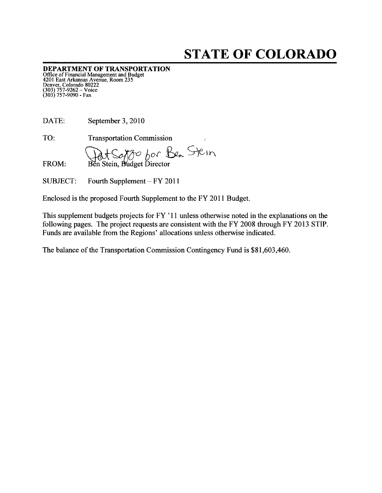# STATE OF COLORADO

DEPARTMENT OF TRANSPORTATION Office of Financial Management and Budget <sup>4201</sup> East Arkansas Avenue, Room <sup>235</sup> Denver, Colorado 80222 (303) 757-9262 — Voice (303) 757-9090 - Fax

DATE: September 3, 2010

TO: Transportation Commission

FROM: Ben Stein, Budget Director

SUBJECT: Fourth Supplement — FY 2011

Enclosed is the proposed Fourth Supplement to the FY 2011 Budget.

This supplement budgets projects for FY '11 unless otherwise noted in the explanations on the following pages. The project requests are consistent with the FY 2008 through FY 2013 STIP. Funds are available from the Regions' allocations unless otherwise indicated.

The balance of the Transportation Commission Contingency Fund is \$81,603,460.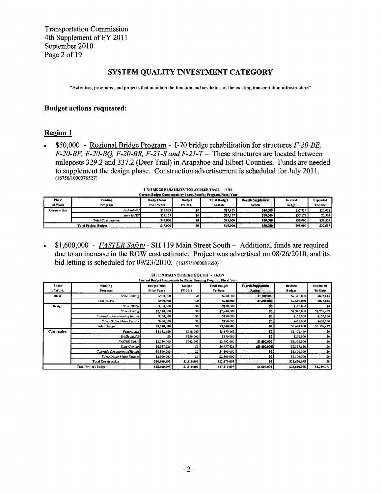Transportation Commission 4th Supplement of FY 2011 September 2010 Page 2 of 19

## SYSTEM QUALITY INVESTMENT CATEGORY

"Activities, programs, and projects that maintain the function and aesthetics of the existing transportation infrastructure"

## Budget actions requested:

## Region <sup>1</sup>

•  $$50,000$  - Regional Bridge Program - I-70 bridge rehabilitation for structures  $F-20-BE$ , F-20-BF, F-20-BQ, F-20-BR, F-21-S and F-21-T – These structures are located between mileposts 329.2 and 337.2 (Deer Trail) in Arapahoe and Elbert Counties. Funds are needed to supplement the design phase. Construction advertisement is scheduled for July 2011. (16756/1000076527)

| PO PNDOL REHABILITATION AT DEEN TRAIL - 19739<br>Current Budget Components by Phase, Funding Program, Fiscal Year |                           |                                          |                          |                                       |                                    |                   |                            |  |  |  |
|-------------------------------------------------------------------------------------------------------------------|---------------------------|------------------------------------------|--------------------------|---------------------------------------|------------------------------------|-------------------|----------------------------|--|--|--|
| <b>Phase</b><br>of Work                                                                                           | Funding<br>Program        | <b>Budget from</b><br><b>Prior Years</b> | <b>Budget</b><br>FY 2011 | <b>Total Budget</b><br><b>To-Date</b> | <b>Fourth Supplement</b><br>Action | Revised<br>Budget | <b>Expended</b><br>To-Date |  |  |  |
| Construction                                                                                                      | Federal-Aid               | \$17,823                                 | \$0                      | \$17.823                              | \$40,000                           | \$57,823          | \$26,028                   |  |  |  |
|                                                                                                                   | State HUTF                | \$27,177                                 | \$0 <sub>1</sub>         | \$27,177                              | \$10,000                           | \$37,177          | \$6,507                    |  |  |  |
|                                                                                                                   | <b>Total Construction</b> | \$45,000                                 | SO <sub>1</sub>          | \$45,000                              | \$50,000                           | \$95,000          | \$32,535                   |  |  |  |
| \$45,000<br><b>Total Project Budget</b>                                                                           |                           |                                          | S <sub>0</sub>           | \$45,000                              | \$50,000                           | \$95,000          | \$32,535                   |  |  |  |

| 1-70 BRIDGE REHABILITATION AT DEER TRAIL - 16756 |  |  |
|--------------------------------------------------|--|--|
|--------------------------------------------------|--|--|

• \$1,600,000 -  $FASTER Safety - SH 119 Main Street South - Additional funds are required$ due to an increase in the ROW cost estimate. Project was advertised on 08/26/20 10, and its bid letting is scheduled for 09/23/2010. (16357/1000081650)

|                             |                                     |                    |                | Current Budget Components by Phase, Funding Program, Fiscal Year |                          |               |                 |
|-----------------------------|-------------------------------------|--------------------|----------------|------------------------------------------------------------------|--------------------------|---------------|-----------------|
| Phase                       | Funding                             | <b>Budget from</b> | <b>Budget</b>  | <b>Total Budget</b>                                              | <b>Fourth Supplement</b> | Revised       | <b>Expended</b> |
| of Work                     | Program                             | <b>Prior Years</b> | FY 2011        | To-Date                                                          | Action                   | <b>Budget</b> | To-Date         |
| <b>ROW</b>                  | <b>State Gaming</b>                 | \$900,000          | 50             | \$900,000                                                        | \$1,600,000              | \$2,500,000   | \$892,614       |
|                             | <b>Total ROW</b>                    | \$900,000          | \$0            | \$900.000                                                        | \$1,600,000              | \$2,500,000   | \$892,614       |
| Design                      | <b>State HUTF</b>                   | \$100,000          | \$0            | \$100,000                                                        | 50                       | \$100,000     | \$0             |
|                             | <b>State Gaming</b>                 | \$2,940,000        | \$0            | \$2,940,000                                                      | \$0.                     | \$2,940,000   | \$2,756,459     |
|                             | Colorado Department of Health       | \$150,000          | S <sub>0</sub> | \$150,000                                                        | 50                       | \$150,000     | \$150,000       |
|                             | <b>Silver Dollar Metro District</b> | \$450,000          | \$0            | \$450,000                                                        | \$0                      | \$450,000     | \$450,000       |
|                             | <b>Total Design</b>                 | \$3,640,000        | S0             | \$3,640,000                                                      | SO I                     | \$3,640,000   | \$3,356,459     |
| <b>Construction</b>         | Federal-Aid                         | \$4,552,469        | \$618,000      | \$5,170,469                                                      | \$0                      | \$5,170,469   | \$0             |
|                             | Traffic MLOS                        | \$0                | \$250,000      | \$250,000                                                        | SO.                      | \$250,000     | \$0             |
|                             | <b>FASTER Safety</b>                | \$2,050,000        | \$942,000      | \$2,992,000                                                      | \$1,600,000              | \$4,592,000   | \$0             |
|                             | <b>State Gaming</b>                 | \$6,957,626        | \$0            | \$6,957,626                                                      | (1.600, 000)             | \$5,357,626   | \$0             |
|                             | Colorado Department of Health       | \$4,800,000        | \$0            | \$4,800,000                                                      | 50                       | \$4,800,000   | \$0             |
|                             | <b>Silver Dollar Metro District</b> | \$2,500,000        | \$0            | \$2,500,000                                                      | <b>SO</b>                | \$2,500,000   | \$0             |
|                             | <b>Total Construction</b>           | \$20,860,095       | \$1,810,000    | \$22,670,095                                                     | so                       | \$22,670,095  | S0              |
| <b>Total Project Budget</b> |                                     |                    |                |                                                                  |                          |               |                 |

### SH 119 MAIN STREET SOUTH - 16357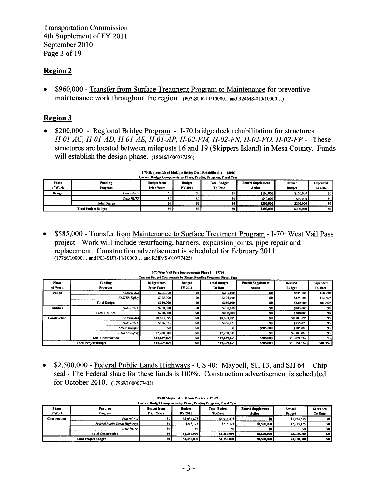**Transportation Commission** 4th Supplement of FY 2011 September 2010 Page 3 of 19

## **Region 2**

\$960,000 - Transfer from Surface Treatment Program to Maintenance for preventive maintenance work throughout the region. (P02-SUR-11/10000...and R24MS-010/10000...)

## **Region 3**

\$200,000 - Regional Bridge Program - I-70 bridge deck rehabilitation for structures  $\bullet$ H-01-AC, H-01-AD, H-01-AE, H-01-AP, H-02-FM, H-02-FN, H-02-FO, H-02-FP - These structures are located between mileposts 16 and 19 (Skippers Island) in Mesa County. Funds will establish the design phase. (18046/1000077356)

| Current Budget Components by Phase, Funding Program, Fiscal Year |                             |                    |                |                     |                          |               |                 |  |  |
|------------------------------------------------------------------|-----------------------------|--------------------|----------------|---------------------|--------------------------|---------------|-----------------|--|--|
| Phase                                                            | Funding                     | <b>Budget from</b> | <b>Budget</b>  | <b>Total Budget</b> | <b>Fourth Supplement</b> | Revised       | <b>Expended</b> |  |  |
| of Work                                                          | Program                     | <b>Prior Years</b> | FY 2011        | <b>To-Date</b>      | Action                   | <b>Budget</b> | <b>To-Date</b>  |  |  |
| <b>Design</b>                                                    | Federal-Aid                 | 50                 | \$0            |                     | \$160,000                | \$160,000     | SO.             |  |  |
|                                                                  | State HUTF                  | <b>SO</b> 1        | \$0            | ا 30                | \$40,000                 | \$40,000      | \$0             |  |  |
|                                                                  | <b>Total Design</b>         | SO.                | SO I           | SO <sub>1</sub>     | \$200,000                | \$200,000     | SO.             |  |  |
|                                                                  | <b>Total Project Budget</b> | \$0 <sub>1</sub>   | S <sub>0</sub> | SO I                | \$200,000                | \$200,000     | -so I           |  |  |

| I-70 Skippers Island Multiple Bridge Deck Rehabilitation - 18046    |  |  |
|---------------------------------------------------------------------|--|--|
| Connect Burbara Companies for Blogge, Royalton Burbaran, Bloggi Va. |  |  |

\$585,000 - Transfer from Maintenance to Surface Treatment Program - I-70: West Vail Pass  $\bullet$ project - Work will include resurfacing, barriers, expansion joints, pipe repair and replacement. Construction advertisement is scheduled for February 2011.  $(17766/10000...$  and P03-SUR-11/10000... and R38MS-010/77425)

| Current Budget Components by Phase, Funding Program, Fiscal Year |                             |                    |                  |                     |                          |                |             |  |  |  |
|------------------------------------------------------------------|-----------------------------|--------------------|------------------|---------------------|--------------------------|----------------|-------------|--|--|--|
| <b>Phase</b>                                                     | Funding                     | <b>Budget from</b> | <b>Budget</b>    | <b>Total Budget</b> | <b>Fourth Supplement</b> | <b>Revised</b> | Expended    |  |  |  |
| of Work                                                          | Program                     | <b>Prior Years</b> | FY 2011          | <b>To-Date</b>      | Action                   | <b>Budget</b>  | To-Date     |  |  |  |
| Design                                                           | Federal-Aid                 | \$205,000          | \$0              | \$205,000           | \$0                      | \$205,000      | \$68,990    |  |  |  |
|                                                                  | <b>FASTER Safety</b>        | \$125,000          | \$0              | \$125,000           | \$0                      | \$125,000      | \$12,569    |  |  |  |
|                                                                  | <b>Total Design</b>         | \$330,000          | SO.              | \$330,000           | SO.                      | \$330,000      | \$81,559    |  |  |  |
| <b>Utilities</b>                                                 | <b>State HUTF</b>           | \$200,000          | \$0              | \$200,000           | \$0                      | \$200,000      | \$0         |  |  |  |
|                                                                  | <b>Total Utilities</b>      | \$200,000          | \$0 <sub>1</sub> | \$200,000           | 50                       | \$200,000      | <b>SO</b> 1 |  |  |  |
| Construction                                                     | Federal-Aid                 | \$8,883,095        | \$0              | \$8,883,095         | \$0                      | \$8,883,095    | \$0         |  |  |  |
|                                                                  | State HUTF                  | \$856,073          | \$0              | \$856,073           | \$0                      | \$856,073      | \$0         |  |  |  |
|                                                                  | MLOS transfer               | \$0                | \$0              | S0                  | \$585,000                | \$585,000      | \$0         |  |  |  |
|                                                                  | <b>FASTER Safety</b>        | \$2,700,000        | \$0              | \$2,700,000         | 50                       | \$2,700,000    | \$0         |  |  |  |
|                                                                  | <b>Total Construction</b>   | \$12,439,168       | SO <sub>1</sub>  | \$12,439,168        | \$585,000                | \$13,024,168   | SO.         |  |  |  |
|                                                                  | <b>Total Project Budget</b> | \$12,969,168       | 50 <sub>1</sub>  | \$12,969,168        | \$585,000                | \$13,554,168   | \$81,559    |  |  |  |

### I-70 West Vail Pass Improvements Phase I - 17766

\$2,500,000 - Federal Public Lands Highways - US 40: Maybell, SH 13, and SH  $64$  – Chip  $\bullet$ seal - The Federal share for these funds is 100%. Construction advertisement is scheduled for October 2010. (17969/1000077433)

| Current Budget Components by Phase, Funding Program, Fiscal Year |                               |                    |                |                     |                          |                |                 |  |  |  |
|------------------------------------------------------------------|-------------------------------|--------------------|----------------|---------------------|--------------------------|----------------|-----------------|--|--|--|
| <b>Phase</b>                                                     | Funding                       | <b>Budget from</b> | <b>Budget</b>  | <b>Total Budget</b> | <b>Fourth Supplement</b> | <b>Revised</b> | <b>Expended</b> |  |  |  |
| of Work                                                          | Program                       | <b>Prior Years</b> | FY 2011        | <b>To-Date</b>      | Action                   | <b>Budget</b>  | To-Date         |  |  |  |
| Construction                                                     | Federal-Aid                   | <b>SO</b>          | \$1,034,875    | \$1,034,875         | SO I                     | \$1,034,875    |                 |  |  |  |
|                                                                  | Federal Public Lands Highways | SO I               | \$215,125      | \$215,125           | \$2,500,000              | \$2,715,125    |                 |  |  |  |
|                                                                  | <b>State HUTF</b>             | \$0 <sub>1</sub>   | S <sub>0</sub> | \$0 <sub>1</sub>    |                          |                |                 |  |  |  |
|                                                                  | <b>Total Construction</b>     | \$0                | \$1,250,000    | \$1,250,000         | \$2,500,000              | \$3,750,000    | S0              |  |  |  |
|                                                                  | <b>Total Project Budget</b>   | 50 <sub>1</sub>    | \$1,250,000    | \$1,250,000         | \$2,500,000              | \$3,750,000    | <b>SO</b>       |  |  |  |

## US 40 Maybell & SH13/64 Meeker - 17969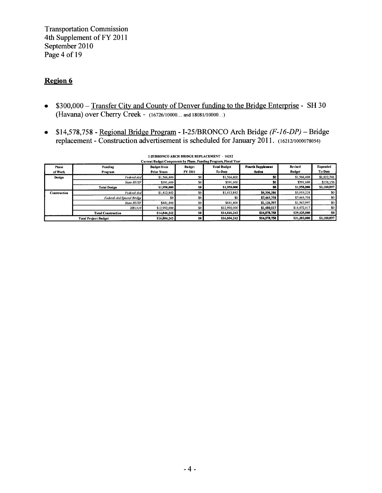Transportation Commission 4th Supplement of FY 2011 September 2010 Page 4 of 19

## Region 6

- \$300,000 Transfer City and County of Denver funding to the Bridge Enterprise SH 30 (Havana) over Cherry Creek - (16726/10000... and 18081/10000...)
- $$14,578,758$  Regional Bridge Program I-25/BRONCO Arch Bridge ( $F$ -16-DP) Bridge replacement -Construction advertisement is scheduled for January 2011. (16212/1000078054)

| Current Budget Components by Phase, Funding Program, Fiscal Year |                                   |                    |                  |                     |                          |               |                 |  |  |
|------------------------------------------------------------------|-----------------------------------|--------------------|------------------|---------------------|--------------------------|---------------|-----------------|--|--|
| <b>Phase</b>                                                     | Funding                           | <b>Budget from</b> | <b>Budget</b>    | <b>Total Budget</b> | <b>Fourth Supplement</b> | Revised       | <b>Expended</b> |  |  |
| of Work                                                          | Program                           | <b>Prior Years</b> | FY 2011          | To-Date             | Action                   | <b>Budget</b> | To-Date         |  |  |
| Design                                                           | Federal-Aid                       | \$1,566,400        | \$0              | \$1,566,400         | \$0                      | \$1,566,400   | \$1,022,741     |  |  |
|                                                                  | <b>State HUTF</b>                 | \$391,600          | S <sub>0</sub>   | \$391,600           | 50                       | \$391.600     | \$158,156       |  |  |
|                                                                  | <b>Total Design</b>               | \$1,958,000        | SO I             | \$1,958,000         | S0                       | \$1,958,000   | \$1,180,897     |  |  |
| <b>Construction</b>                                              | Federal-Aid                       | \$1,412,842        | <b>SO</b>        | \$1,412,842         | \$4,506,386              | \$5,919,228   | SO.             |  |  |
|                                                                  | <b>Federal-Aid Special Bridge</b> | \$0                | SO 1             | \$0                 | \$7,465,758              | \$7,465,758   | \$0             |  |  |
|                                                                  | State HUTF                        | \$441,400          | \$0 <sub>1</sub> | \$441,400           | \$1,126,597              | \$1,567,997   | \$0             |  |  |
|                                                                  | HB1310                            | \$12,992,000       | 50 <sub>1</sub>  | \$12,992,000        | \$1,480,017              | \$14,472,017  | \$0             |  |  |
|                                                                  | <b>Total Construction</b>         | \$14,846,242       | SO               | \$14,846,242        | \$14,578,758             | \$29,425,000  | SO.             |  |  |
|                                                                  | <b>Total Project Budget</b>       | \$16,804.242       | so l             | \$16,804,242        | \$14,578,758             | \$31,383,000  | \$1,180,897     |  |  |

## 1-25/BRONCO ARCH BRIDGE REPLACEMENT - 16212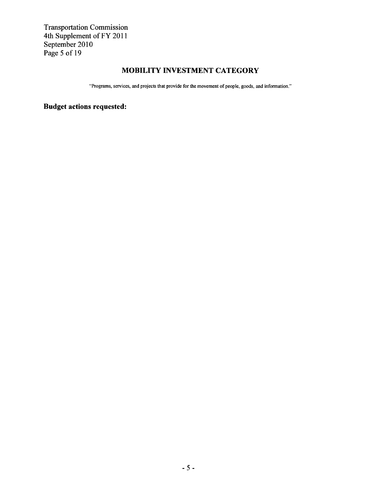Transportation Commission 4th Supplement of FY 2011 September 2010 Page 5 of 19

## MOBILITY INVESTMENT CATEGORY

"Programs, services, and projects that provide for the movement of people, goods, and information."

Budget actions requested: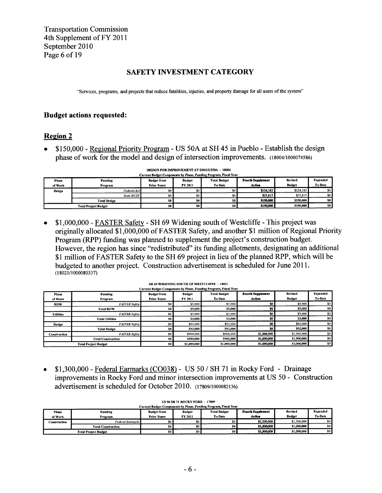Transportation Commission 4th Supplement of FY 2011 September 2010 Page 6 of 19

## SAFETY INVESTMENT CATEGORY

"Services, programs, and projects that reduce fatalities, injuries, and property damage for all users of the system"

## Budget actions requested:

## Region 2

• \$150,000 -Regional Priority Program - US 50A at SH 45 in Pueblo -Establish the design phase of work for the model and design of intersection improvements. (18004/1000074586)

|                                     | Current Budget Components by Phase, Funding Program, Fiscal Year |                                          |                          |                                       |                                    |                                 |                            |  |  |  |
|-------------------------------------|------------------------------------------------------------------|------------------------------------------|--------------------------|---------------------------------------|------------------------------------|---------------------------------|----------------------------|--|--|--|
| <b>Phase</b><br>of Work             | Funding<br>Program                                               | <b>Budget from</b><br><b>Prior Years</b> | <b>Budget</b><br>FY 2011 | <b>Total Budget</b><br><b>To-Date</b> | <b>Fourth Supplement</b><br>Action | <b>Revised</b><br><b>Budget</b> | <b>Expended</b><br>To-Date |  |  |  |
| Design                              | Federal-Aid                                                      | \$0 <sub>1</sub>                         | \$0                      | SO 1                                  | \$124,185                          | \$124,185                       | \$0 <sub>1</sub>           |  |  |  |
|                                     | <b>State HUTF</b>                                                | <b>\$0</b>                               | \$0 <sub>1</sub>         | 80.                                   | \$25,815                           | \$25,815                        | \$0                        |  |  |  |
|                                     | <b>Total Design</b>                                              | <b>SO</b> 1                              | SO I                     | SO L                                  | \$150,000                          | \$150,000                       | SO.                        |  |  |  |
| SO  <br><b>Total Project Budget</b> |                                                                  |                                          | -so L                    | SO I                                  | \$150,000                          | \$150,000                       | SO I                       |  |  |  |

DESIGN FOR IMPROVEMENT AT SH45/USSOA - 18004

• \$1,000,000 - FASTER Safety - SH 69 Widening south of Westcliffe - This project was originally allocated \$1,000,000 of FASTER Safety, and another \$1 million of Regional Priority Program (RPP) funding was planned to supplement the project's construction budget. However, the region has since "redistributed" its funding allotments, designating an additional \$1 million of FASTER Safety to the SH 69 project in lieu of the planned RPP, which will be budgeted to another project. Construction advertisement is scheduled for June 2011. (18021/1000080337)

| Phase<br>of Work | Funding<br>Program          | <b>Budget from</b><br><b>Prior Years</b> | <b>Budget</b><br>FY 2011 | <b>Total Budget</b><br>To-Date | <b>Fourth Supplement</b><br>Action | Revised<br><b>Budget</b> | Expended<br>To-Date |
|------------------|-----------------------------|------------------------------------------|--------------------------|--------------------------------|------------------------------------|--------------------------|---------------------|
| <b>ROW</b>       | <b>FASTER Safety</b>        | \$0                                      | \$5,000                  | \$5,000                        | \$0                                | \$5,000                  | \$0                 |
|                  | <b>Total ROW</b>            | S <sub>0</sub>                           | \$5,000                  | \$5,000                        | \$0                                | \$5,000                  | \$0                 |
| <b>Utilities</b> | <b>FASTER Safety</b>        | \$0                                      | \$3,000                  | \$3,000                        | \$0                                | \$3,000                  | \$0                 |
|                  | <b>Total Utilities</b>      | SO I                                     | \$3,000                  | \$3,000                        | \$0                                | \$3,000                  | S <sub>0</sub>      |
| Design           | <b>FASTER Safety</b>        | \$0                                      | \$92,000                 | \$92,000                       | \$0                                | \$92,000                 | \$0                 |
|                  | <b>Total Design</b>         | SO                                       | \$92,000                 | \$92,000                       | \$0                                | \$92,000                 | 50                  |
| Construction     | <b>FASTER Safety</b>        | \$0                                      | \$900,000                | \$900,000                      | \$1,000,000                        | \$1,900,000              | \$0                 |
|                  | <b>Total Construction</b>   | <b>SO</b>                                | \$900,000                | \$900,000                      | \$1,000,000                        | \$1,900,000              | \$0                 |
|                  | <b>Total Project Budget</b> | S <sub>0</sub>                           | \$1,000,000              | \$1,000,000                    | \$1,000,000                        | \$2,000,000              | 50                  |

#### SH 69 WIDENING SOUTH OF WESTCLIFFE - 18021 Current Bodget Components by Phase, Funding Program, Fiscal Year

• \$1,300,000 - Federal Earmarks (CO038) - US 50 / SH 71 in Rocky Ford - Drainage improvements in Rocky Ford and minor intersection improvements at US 50 - Construction advertisement is scheduled for October 2010. (17809/1000082136)

| Current Budget Components by Phase, Funding Program, Fiscal Year |                           |                    |                |                     |                          |               |                 |  |  |  |
|------------------------------------------------------------------|---------------------------|--------------------|----------------|---------------------|--------------------------|---------------|-----------------|--|--|--|
| Phase                                                            | Funding                   | <b>Budget from</b> | <b>Budget</b>  | <b>Total Budget</b> | <b>Fourth Supplement</b> | Revised       | <b>Expended</b> |  |  |  |
| of Work                                                          | Program                   | <b>Prior Years</b> | FY 2011        | To-Date             | Action                   | <b>Budget</b> | To-Date         |  |  |  |
| Construction                                                     | Federal Earmarks          | \$0                | \$0            | 50 1                | \$1,300,000              | \$1,300,000   | -so 1           |  |  |  |
|                                                                  | <b>Total Construction</b> | 50 <sub>1</sub>    | SO I           | so l                | \$1,300,000              | \$1,300,000   | 50              |  |  |  |
| <b>Total Project Budget</b>                                      |                           | S <sub>0</sub>     | S <sub>0</sub> | so i                | \$1,300,000              | \$1,300,000   | \$0             |  |  |  |

### US5OSH7I ROCKY FORD - 17509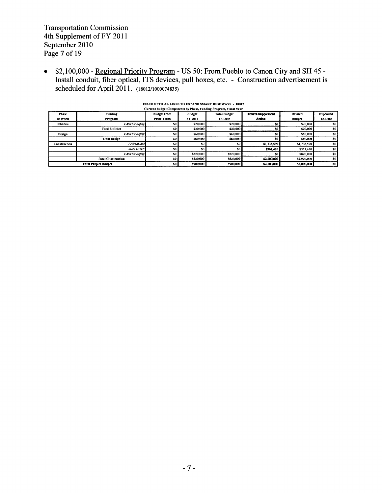Transportation Commission 4th Supplement of FY 2011 September 2010 Page 7 of 19

 $\bullet$ \$2,100,000 - <u>Regional Priority Program</u> - US 50: From Pueblo to Canon City and SH 45 -Install conduit, fiber optical, ITS devices, pull boxes, etc. - Construction advertisement is scheduled for April 2011. (18012/1000074835)

| Current Budget Components by Phase, Funding Program, Fiscal Year |                             |                    |               |                     |                          |                |                 |  |
|------------------------------------------------------------------|-----------------------------|--------------------|---------------|---------------------|--------------------------|----------------|-----------------|--|
| <b>Phase</b>                                                     | Funding                     | <b>Budget from</b> | <b>Budget</b> | <b>Total Budget</b> | <b>Fourth Supplement</b> | <b>Revised</b> | <b>Expended</b> |  |
| of Work                                                          | Program                     | <b>Prior Years</b> | FY 2011       | <b>To-Date</b>      | Action                   | <b>Budget</b>  | <b>To-Date</b>  |  |
| <b>Utilities</b>                                                 | <b>FASTER Safety</b>        | SO.                | \$20,000      | \$20.000            | SO.                      | \$20,000       | \$0             |  |
|                                                                  | <b>Total Utilities</b>      | 50                 | \$20,000      | \$20,000            | \$0                      | \$20,000       | SO.             |  |
| Design                                                           | <b>FASTER Safety</b>        | \$0                | \$60,000      | \$60,000            | \$0                      | \$60,000       | \$0             |  |
|                                                                  | <b>Total Design</b>         | SO.                | \$60,000      | \$60,000            | 50.                      | \$60,000       | 50              |  |
| <b>Construction</b>                                              | Federal-Aid                 | \$0                | \$0           | \$0                 | \$1,738,590              | \$1,738,590    | \$0             |  |
|                                                                  | <b>State HUTF</b>           | \$0                | \$0           |                     | \$361,410                | \$361,410      | \$0             |  |
|                                                                  | <b>FASTER Safety</b>        | \$0                | \$820,000     | \$820,000           | 50                       | \$820,000      | \$0             |  |
|                                                                  | <b>Total Construction</b>   | SO.                | \$820,000     | \$820,000           | \$2,100,000              | \$2,920,000    | S <sub>0</sub>  |  |
|                                                                  | <b>Total Project Budget</b> | 50                 | \$900,000     | \$900,000           | \$2,100,000              | \$3,000,000    | SO.             |  |

## FIBER OPTICAL LINES TO EXPAND SMART HIGHWAYS - 18012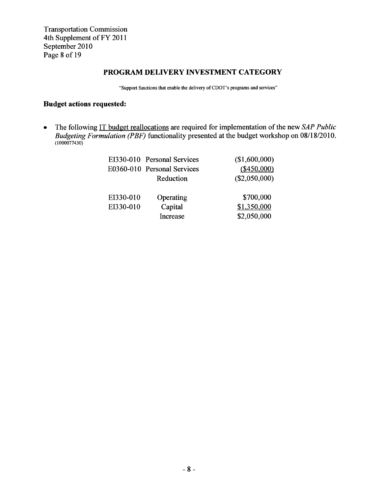Transportation Commission 4th Supplement of FY 2011 September 2010 Page <sup>8</sup> of 19

## PROGRAM DELIVERY INVESTMENT CATEGORY

"Support functions that enable the delivery of CDOT's programs and services"

## Budget actions requested:

The following IT budget reallocations are required for implementation of the new  $SAP$  Public  $\bullet$ Budgeting Formulation (PBF) functionality presented at the budget workshop on 08/18/2010.  $(1000077430)$ 

|           | EI330-010 Personal Services | (\$1,600,000)   |
|-----------|-----------------------------|-----------------|
|           | E0360-010 Personal Services | (\$450,000)     |
|           | Reduction                   | $(\$2,050,000)$ |
|           |                             |                 |
| EI330-010 | Operating                   | \$700,000       |
| EI330-010 | Capital                     | \$1,350,000     |
|           | Increase                    | \$2,050,000     |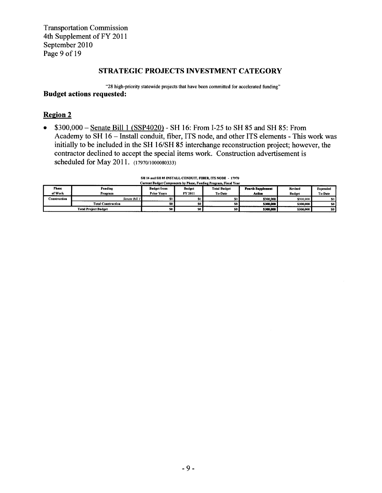**Transportation Commission** 4th Supplement of FY 2011 September 2010 Page 9 of 19

## STRATEGIC PROJECTS INVESTMENT CATEGORY

"28 high-priority statewide projects that have been committed for accelerated funding" **Budget actions requested:** 

## **Region 2**

\$300,000 - Senate Bill 1 (SSP4020) - SH 16: From I-25 to SH 85 and SH 85: From  $\bullet$ Academy to SH 16 - Install conduit, fiber, ITS node, and other ITS elements - This work was initially to be included in the SH 16/SH 85 interchange reconstruction project; however, the contractor declined to accept the special items work. Construction advertisement is scheduled for May 2011. (17970/1000080333)

### SH 16 and SH 85 INSTALL CONDUIT, FIBER, ITS NODE - 17970

|              | Current Budget Components by Phase, Funding Program, Fiscal Year |                    |                 |                     |                          |               |                  |  |  |  |
|--------------|------------------------------------------------------------------|--------------------|-----------------|---------------------|--------------------------|---------------|------------------|--|--|--|
| Phase        | Funding                                                          | <b>Budget from</b> | <b>Budget</b>   | <b>Total Budget</b> | <b>Fourth Supplement</b> | Revised       | <b>Expended</b>  |  |  |  |
| of Work      | Program                                                          | <b>Prior Years</b> | FY 2011         | <b>To-Date</b>      | Action                   | <b>Budget</b> | To-Date          |  |  |  |
| Construction | Senate Bill 1                                                    |                    | SO I            |                     | \$300,000                | \$300,000     | \$0 <sub>1</sub> |  |  |  |
|              | <b>Total Construction</b>                                        | SO.                | SO              | so l                | \$300,000                | \$300,000     | SO -             |  |  |  |
|              | <b>Total Project Budget</b>                                      | SO.                | 50 <sub>1</sub> | SO <sub>1</sub>     | \$300,000                | \$300,000     | S <sub>0</sub>   |  |  |  |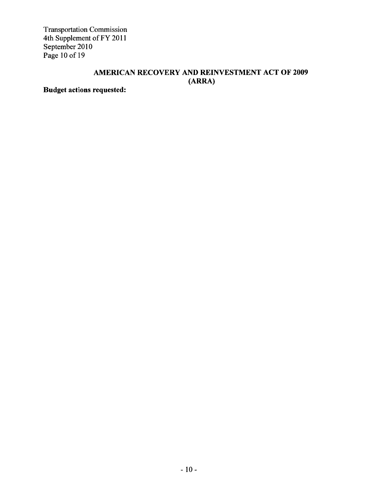Transportation Commission 4th Supplement of FY 2011 September 2010 Page 10 of 19

## AMERICAN RECOVERY AND REINVESTMENT ACT OF 2009 (ARRA)

Budget actions requested: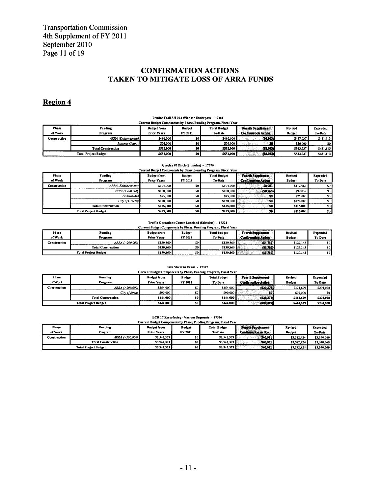## **CONFIRMATION ACTIONS** TAKEN TO MITIGATE LOSS OF ARRA FUNDS

## Region 4

#### Poudre Trail SH 392 Windsor Underpass - 17281 Current Budget Components by Phase, Funding Program, Fiscal Year Phase Funding **Budget from Budget Total Budget Fourth Supplement** Revised Expended of Work Program **Prior Years** FY 2011 To-Date **Confirmation Action Budget** To-Date Construction **ARRA** (Enhancement) \$496,000 \$496,000 \$487,037 \$481,413 \$0  $(38,963)$ \$56,000  $\overline{\overline{s}}$  $556,000$ \$56,000 Larimer County - 10 50 **Total Construction**  $\overline{\mathbf{s}}$ \$552,000 \$552,000 \$543,037  $(53.963)$ \$481,413 \$552,000 **Total Project Budget**  $$552.000$  $\overline{\mathbf{S}}$ \$543,037  $5481,413$ 63.963

#### Greeley #3 Ditch (Stimulus) - 17676

|                         | Current Budget Components by Phase, Funding Program, Fiscal Year |                                          |                          |                                |                                                        |                          |                            |  |  |
|-------------------------|------------------------------------------------------------------|------------------------------------------|--------------------------|--------------------------------|--------------------------------------------------------|--------------------------|----------------------------|--|--|
| <b>Phase</b><br>of Work | Funding<br>Program                                               | <b>Budget from</b><br><b>Prior Years</b> | <b>Budget</b><br>FY 2011 | <b>Total Budget</b><br>To-Date | <b>Fourth Supplement</b><br><b>Confirmation Action</b> | Revised<br><b>Budget</b> | Expended<br><b>To-Date</b> |  |  |
|                         |                                                                  |                                          |                          |                                |                                                        |                          |                            |  |  |
| Construction            | <b>ARRA</b> (Enhancement)                                        | \$104,000                                | \$0                      | \$104,000                      | \$8.963                                                | \$112,963                | \$0                        |  |  |
|                         | ARRA (>200.000)                                                  | \$108,000                                | \$0                      | \$108,000                      | (58, 963)                                              | \$99,037                 | \$0                        |  |  |
|                         | Federal-Aid                                                      | \$75,000                                 | <b>SO</b>                | \$75,000                       | SO I                                                   | \$75,000                 | \$0                        |  |  |
|                         | City of Greeley                                                  | \$128,000                                | SO I                     | \$128,000                      | so I                                                   | \$128,000                | \$0                        |  |  |
|                         | <b>Total Construction</b>                                        | \$415,000                                | SO.                      | \$415,000                      | 50                                                     | \$415,000                | \$0                        |  |  |
|                         | <b>Total Project Budget</b>                                      | \$415,000                                | SO                       | \$415,000                      | 50                                                     | \$415,000                | \$0                        |  |  |

#### Traffic Operations Center Loveland (Stimulus) - 17322  $-1$   $V_{22}$

|                                                                  | ---------------------------- |                    |            |                        |                            |               |                |  |  |  |
|------------------------------------------------------------------|------------------------------|--------------------|------------|------------------------|----------------------------|---------------|----------------|--|--|--|
| Current Budget Components by Phase, Funding Program, Fiscal Year |                              |                    |            |                        |                            |               |                |  |  |  |
| <b>Phase</b>                                                     | <b>Funding</b>               | <b>Budget from</b> | Budget     | <b>Total Budget</b>    | <b>Fourth Supplement</b>   | Revised       | Expended       |  |  |  |
| of Work                                                          | Program                      | <b>Prior Years</b> | FY 2011    | To-Date                | <b>Confirmation Action</b> | <b>Budget</b> | <b>To-Date</b> |  |  |  |
| Construction                                                     | ARRA (>200.000)              | \$130,860          | <b>\$0</b> | \$130,860 E            | (51, 717)                  | \$129.143     | SO I           |  |  |  |
|                                                                  | <b>Total Construction</b>    | \$130,860          | so l       | \$130.860 <sup>L</sup> | (31, 717)                  | \$129,143     | so l           |  |  |  |
|                                                                  | <b>Total Project Budget</b>  | \$130,860          | so l       | <b>\$130,860</b>       | (31,717)                   | \$129,143     | S <sub>0</sub> |  |  |  |

|                         | 37th Street in Evans - 17327<br>Current Budget Components by Phase, Funding Program, Fiscal Year |                                          |                          |                                |                                                        |                          |                            |  |  |
|-------------------------|--------------------------------------------------------------------------------------------------|------------------------------------------|--------------------------|--------------------------------|--------------------------------------------------------|--------------------------|----------------------------|--|--|
| <b>Phase</b><br>of Work | Funding<br>Program                                                                               | <b>Budget from</b><br><b>Prior Years</b> | <b>Budget</b><br>FY 2011 | <b>Total Budget</b><br>To-Date | <b>Fourth Supplement</b><br><b>Confirmation Action</b> | Revised<br><b>Budget</b> | <b>Expended</b><br>To-Date |  |  |
| Construction            | $ARRA \gtrsim$ 200,000)                                                                          | \$354,000                                | \$0                      | \$354,000                      | (229.371)                                              | \$324,629                | \$294,028                  |  |  |
|                         | City of Evans                                                                                    | \$90,000                                 |                          | \$90,000                       | 50                                                     | \$90,000                 | SO.                        |  |  |
|                         | <b>Total Construction</b>                                                                        | \$444,000                                | SO I                     | \$444.000                      | (329,371)                                              | \$414,629                | \$294.028                  |  |  |
|                         | <b>Total Project Budget</b>                                                                      | \$444,000                                | so l                     | \$444.000                      | (529, 371)                                             | \$414,629                | \$294.028                  |  |  |

#### LCR 17 Resurfacing - Various Segments - 17326

|              | Current Budget Components by Phase, Funding Program, Fiscal Year |                    |                |                     |                            |               |                 |  |  |  |
|--------------|------------------------------------------------------------------|--------------------|----------------|---------------------|----------------------------|---------------|-----------------|--|--|--|
| Phase        | Funding                                                          | <b>Budget from</b> | <b>Budget</b>  | <b>Total Budget</b> | <b>Fourth Supplement</b>   | Revised       | <b>Expended</b> |  |  |  |
| of Work      | Program                                                          | <b>Prior Years</b> | <b>FY 2011</b> | <b>To-Date</b>      | <b>Confirmation Action</b> | <b>Budget</b> | <b>To-Date</b>  |  |  |  |
| Construction | $ARRA \gtrsim$ 200.000)                                          | \$3.542.373        | 50             | \$3.542.373         | \$40,051                   | \$3,582,424   | \$3,370,769     |  |  |  |
|              | <b>Total Construction</b>                                        | \$3,542,373        | SO.            | \$3,542,373         | \$40,051                   | \$3,582,424   | \$3,370,769     |  |  |  |
|              | <b>Total Project Budget</b>                                      | \$3,542,373        | SO.            | \$3,542,373         | \$40,051                   | \$3,582,424   | \$3,370,769     |  |  |  |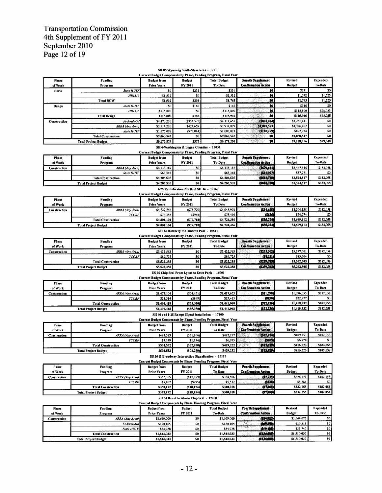# Transportation Commission<br>4th Supplement of FY 2011 September 2010 Page 12 of 19

**Total Project Budget** 

#### SH 85 Wyoming South-Structures - 17113<br>dget Components by Phase, Funding Program  $\sim$ .<br>n. Fiscal Year

|                     |                                 |                    |                                                  | Сиггент виодет Сотроненск бу главе, главниц гтодгат, главн теан  |                                                        |                |                            |
|---------------------|---------------------------------|--------------------|--------------------------------------------------|------------------------------------------------------------------|--------------------------------------------------------|----------------|----------------------------|
| <b>Phase</b>        | Funding                         | <b>Budget from</b> | <b>Budget</b>                                    | <b>Total Budget</b>                                              | <b>Fourth Supplement</b>                               | Revised        | <b>Expended</b>            |
| of Work             | Program                         | <b>Prior Years</b> | FY 2011                                          | To-Date                                                          | <b>Confirmation Action</b>                             | <b>Budget</b>  | To-Date                    |
| <b>ROW</b>          | <b>State HUTF</b>               | \$0                | \$231                                            | \$231                                                            | 50                                                     | \$231          | \$0                        |
|                     | <b>HB1310</b>                   | \$1,532            | \$0                                              | \$1,532                                                          | \$0                                                    | \$1,532        | \$1,523                    |
|                     | <b>Total ROW</b>                | \$1,532            | \$231                                            | \$1,763                                                          | 50                                                     | \$1,763        | \$1,523                    |
| Design              | <b>State HUTF</b>               | \$0                | \$146                                            | \$146                                                            | \$0                                                    | \$146          | \$0                        |
|                     | <b>HB1310</b>                   | \$115,800          | \$0                                              | \$115,800                                                        | \$0                                                    | \$115,800      | \$98,025                   |
|                     | <b>Total Design</b>             | \$115,800          | <b>S146</b>                                      | \$115,946                                                        | 50                                                     | \$115,946      | \$98,025                   |
| <b>Construction</b> | Federal-Aid                     | \$4,470,230        | ( \$351, 575                                     | \$4,118,655                                                      | (1867.244)                                             | \$3,251,411    | \$0                        |
|                     | <b>ARRA</b> (Any Area)          | \$3,514,220        | \$424,659                                        | \$3,938,879                                                      | \$1,047,523                                            | \$4,986,402    | \$0                        |
|                     | <b>State HUTF</b>               | \$1,076,097        | ( \$73,084                                       | \$1,003,013                                                      | (\$180.279)                                            | \$822,734      | \$0                        |
|                     | <b>Total Construction</b>       | \$9,060,547        | S <sub>0</sub>                                   | \$9,060,547                                                      | Śõ                                                     | \$9,060,547    | 50                         |
|                     | <b>Total Project Budget</b>     | \$9,177,879        | \$377                                            | \$9,178,256                                                      | SO <sup>.</sup>                                        | \$9,178,256    | \$99,548                   |
|                     |                                 |                    | SH 6-Washington & Logan Counties - 17033         |                                                                  |                                                        |                |                            |
|                     |                                 |                    |                                                  | Current Budget Components by Phase, Funding Program, Fiscal Year |                                                        |                |                            |
| Phase               | <b>Funding</b>                  | <b>Budget from</b> | <b>Budget</b>                                    | <b>Total Budget</b>                                              | <b>Pourth Supplement</b>                               | Revised        | Expended                   |
| of Work             | Program                         | <b>Prior Years</b> | FY 2011                                          | To-Date                                                          | <b>Confirmation Action</b>                             | <b>Budget</b>  | To-Date                    |
| Construction        | ARRA (Any Area)                 | \$4,138,187        | \$0                                              | \$4,138,187                                                      | (9670, 641)                                            | \$3,467,546    | \$182,058                  |
|                     | <b>State HUTF</b>               | \$68,348           | \$0                                              | \$68,348                                                         | (311.077                                               | \$57,271       | \$0                        |
|                     | <b>Total Construction</b>       | \$4,206,535        | \$0                                              | \$4,206,535                                                      | (3681,718)                                             | \$3,524,817    | \$182,058                  |
|                     | <b>Total Project Budget</b>     | \$4,206,535        | \$0                                              | \$4,206,535                                                      | (5601, 718)                                            | \$3,524,817    | \$182,058                  |
|                     |                                 |                    | I-25 Rubbilization North of SH 34 - 17167        |                                                                  |                                                        |                |                            |
|                     |                                 |                    |                                                  | Current Budget Components by Phase, Funding Program, Fiscal Year |                                                        |                |                            |
| Phase               | Funding                         | <b>Budget from</b> | <b>Budget</b>                                    | <b>Total Budget</b>                                              | <b>Fourth Supplement</b>                               | Revised        | Expended                   |
| of Work             | Program                         | <b>Prior Years</b> | FY 2011                                          | To-Date                                                          | <b>Confirmation Action</b>                             | <b>Budget</b>  | To-Date                    |
| <b>Construction</b> |                                 | \$4,727,746        | (S78, 770)                                       | \$4,648,976                                                      | (354, 638)                                             | \$4,594,338    | \$182,058                  |
|                     | ARRA (Any Area)<br><b>TCCRF</b> | \$76,358           | (5948)                                           | \$75,410                                                         | (3636)                                                 | \$74,774       | \$0                        |
|                     | <b>Total Construction</b>       | \$4,804,104        | (S79, 718)                                       | \$4,724,386                                                      | (\$55,274)                                             | \$4,669,112    | \$182,058                  |
|                     | <b>Total Project Budget</b>     | \$4,804,104        | (579, 718)                                       | \$4,724,386                                                      | (555,274)                                              | \$4,669,112    | \$182,058                  |
|                     |                                 |                    |                                                  |                                                                  |                                                        |                |                            |
|                     |                                 |                    | SH 14 Hatchery to Cameron Pass - 15511           |                                                                  |                                                        |                |                            |
|                     |                                 |                    |                                                  | Current Budget Components by Phase, Funding Program, Fiscal Year |                                                        | <b>Revised</b> |                            |
| Phase               | Funding                         | <b>Budget from</b> | <b>Budget</b>                                    | <b>Total Budget</b><br>To-Date                                   | <b>Fourth Supplement</b><br><b>Confirmation Action</b> |                | Expended<br><b>To-Date</b> |
| of Work             | Program                         | <b>Prior Years</b> | FY 2011                                          |                                                                  |                                                        | <b>Budget</b>  |                            |
| Construction        | ARRA (Any Area)                 | \$5,432,563        | \$0                                              | \$5,432,563                                                      | (2253, 562)                                            | \$5,177,001    | \$182,058<br>\$0           |
|                     | <b>TCCRF</b>                    | \$89,725           | \$0                                              | \$89,725                                                         | (34.221)                                               | \$85,504       |                            |
|                     | <b>Total Construction</b>       | \$5,522,288        | S <sub>0</sub>                                   | \$5,522,288                                                      | (5259,788)                                             | \$5,262,505    | \$182,058<br>\$182,058     |
|                     | <b>Total Project Budget</b>     | \$5,522,288        | S <sub>0</sub>                                   | \$5,522,288                                                      | (5259,783)                                             | \$5,262,505    |                            |
|                     |                                 |                    | US 36 Chip Seal From Lyons to Estes Park - 16909 |                                                                  |                                                        |                |                            |
|                     |                                 |                    |                                                  | Current Budget Components by Phase, Funding Program, Fiscal Year |                                                        |                |                            |
| Phase               | Funding                         | <b>Budget from</b> | <b>Budget</b>                                    | <b>Total Budget</b>                                              | Fourth Supplement                                      | Revised        | Expended                   |
| of Work             | Program                         | <b>Prior Years</b> | FY 2011                                          | To-Date                                                          | <b>Confirmation Action</b>                             | <b>Budget</b>  | To-Date                    |
| <b>Construction</b> | ARRA (Any Area)                 | \$1,472,104        | (554.451                                         | \$1,417,653                                                      | (\$21,598)                                             | \$1,396,055    | \$182,058                  |
|                     | <b>TCCRF</b>                    | \$24,314           | (5899                                            | \$23,415                                                         | (2433)                                                 | \$22,777       | \$0                        |
|                     | <b>Total Construction</b>       | \$1,496,418        | (555,350)                                        | \$1,441,068                                                      | (522, 256)                                             | \$1,418,832    | \$182,058                  |
|                     | <b>Total Project Budget</b>     | \$1,496,418        | (S55, 350)                                       | \$1,441,068                                                      | (822.336)                                              | \$1,418,832    | \$182,058                  |

#### \$1,441,068 \$1,496,418  $($ \$55,350) SH 60 and I-25 Ramps Signal Installation - 17100

| Current Budget Components by Phase, Funding Program, Fiscal Year |                             |                    |               |                     |                            |               |                 |  |  |
|------------------------------------------------------------------|-----------------------------|--------------------|---------------|---------------------|----------------------------|---------------|-----------------|--|--|
| <b>Phase</b>                                                     | Funding                     | <b>Budget from</b> | <b>Budget</b> | <b>Total Budget</b> | <b>Fourth Supplement</b>   | Revised       | <b>Expended</b> |  |  |
| of Work                                                          | Program                     | <b>Prior Years</b> | FY 2011       | <b>To-Date</b>      | <b>Confirmation Action</b> | <b>Budget</b> | <b>To-Date</b>  |  |  |
| Construction                                                     | ARRA (Any Area)             | \$493,383          | (571, 106)    | \$422,277           | (512, 424)                 | \$409,853     | \$182,058       |  |  |
|                                                                  | <b>TCCRF</b>                | \$8.149            | (\$1,174)     | \$6.975             | (3205)                     | \$6,770       | \$0             |  |  |
|                                                                  | <b>Total Construction</b>   | \$501.532          | (S72, 280)    | S429.252            | 611,619                    | \$416.623     | \$182,058       |  |  |
|                                                                  | <b>Total Project Budget</b> | \$501.532          | (S72, 280)    | S429.252            | (311, 639)                 | \$416,623     | \$182,058       |  |  |

US 36 & Broadway Intersection Signalization - 17117

|              | Current Budget Components by Phase, Funding Program, Fiscal Year |                    |               |                     |                            |               |           |  |  |  |
|--------------|------------------------------------------------------------------|--------------------|---------------|---------------------|----------------------------|---------------|-----------|--|--|--|
| <b>Phase</b> | <b>Funding</b>                                                   | <b>Budget from</b> | <b>Budget</b> | <b>Total Budget</b> | <b>Fourth Supplement</b>   | Revised       | Expended  |  |  |  |
| of Work      | Program                                                          | <b>Prior Years</b> | FY 2011       | To-Date             | <b>Confirmation Action</b> | <b>Budget</b> | To-Date   |  |  |  |
| Construction | ARRA (Any Area)                                                  | \$352,365          | ( \$17, 859)  | \$334,506           | (\$2.735)                  | \$326,771     | \$182,058 |  |  |  |
|              | <b>TCCRF</b>                                                     | \$5,807            | (5295)        | \$5,512             | (3120)                     | \$5.384       | \$0       |  |  |  |
|              | <b>Total Construction</b>                                        | \$358.172          | (S18, 154)    | \$340,018           | 67,863                     | \$332,155     | \$182,058 |  |  |  |
|              | <b>Total Project Budget</b>                                      | \$358,172          | (S18, 154)    | \$340,018           | (57, 36.3)                 | \$332,155     | \$182,058 |  |  |  |

#### SH 34 Brush to Akron Chip Seal - 17208

| Current Budget Components by Phase, Funding Program, Fiscal Year |  |
|------------------------------------------------------------------|--|

| <b>Phase</b> | <b>Funding</b>              | <b>Budget from</b> | <b>Budget</b>    | <b>Total Budget</b> | <b>Fourth Supplement</b>   | Revised     | <b>Expended</b> |
|--------------|-----------------------------|--------------------|------------------|---------------------|----------------------------|-------------|-----------------|
| of Work      | Program                     | <b>Prior Years</b> | FY 2011          | To-Date             | <b>Confirmation Action</b> | Budget      | To-Date         |
| Construction | ARRA (Any Area)             | \$1,669,000        | SO I             | \$1,669,000         | (534, 925)                 | \$1,644,075 | \$0             |
|              | Federal-Aid                 | \$120,105          | so l             | \$120,105           | cless, areas)              | \$30,215    | 50              |
|              | State HUTF                  | \$54.928           | \$0 <sub>1</sub> | \$54.928            | (319,198)                  | \$35,740    |                 |
|              | <b>Total Construction</b>   | \$1,844,033        | so l             | \$1,844,033         | (8134,000)                 | \$1,710,030 | S0              |
|              | <b>Total Project Budget</b> | \$1,844,033        | SO L             | \$1,844,033         | (1) 34,940)                | \$1,710,030 | SO <sup>'</sup> |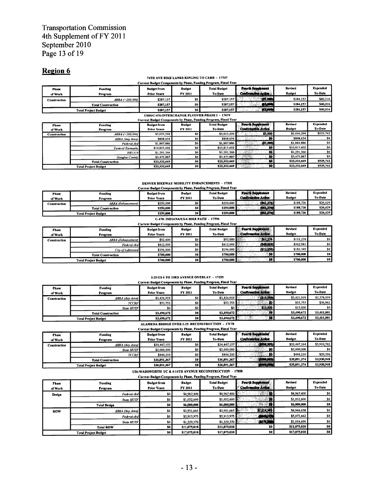# Transportation Commission<br>4th Supplement of FY 2011 September 2010 Page 13 of 19

## Region 6

#### 74TH AVE BIKE LANES: KIPLING TO CARR - 17707

|              | Current Budget Components by Phase, Funding Program, Fiscal Year |                    |                |                     |                            |                |                 |  |  |
|--------------|------------------------------------------------------------------|--------------------|----------------|---------------------|----------------------------|----------------|-----------------|--|--|
| Phase        | Funding                                                          | <b>Budget from</b> | <b>Budget</b>  | <b>Total Budget</b> | Fourth Supplement          | <b>Revised</b> | <b>Expended</b> |  |  |
| of Work      | Program                                                          | <b>Prior Years</b> | FY 2011        | <b>To-Date</b>      | <b>Confirmation Action</b> | <b>Budget</b>  | To-Date         |  |  |
| Construction | $ARRA \, (>=\,200,000)$                                          | \$287,157          | S <sub>0</sub> | \$287.157           | 201,000                    | \$284 157      | \$40,316        |  |  |
|              | <b>Total Construction</b>                                        | \$287,157          | SO I           | \$287.157 k         | 63,000                     | \$284.157      | \$40.316        |  |  |
|              | <b>Total Project Budget</b>                                      | \$287,157          | so I           | \$287.157           | 45,000                     | \$284,157      | \$40,316        |  |  |
|              |                                                                  |                    |                |                     |                            |                |                 |  |  |

## US85/C-470:INTERCHANGE FLYOVER PHASE I - 17679

|                         |                             |                                          |                          | Ситтепт в падет соппроцента ву т наже, г ополнд т года ин, г посит темт |                                                 |                          |                            |
|-------------------------|-----------------------------|------------------------------------------|--------------------------|-------------------------------------------------------------------------|-------------------------------------------------|--------------------------|----------------------------|
| <b>Phase</b><br>of Work | <b>Funding</b><br>Program   | <b>Budget from</b><br><b>Prior Years</b> | <b>Budget</b><br>FY 2011 | <b>Total Budget</b><br>To-Date                                          | Fourth Supplement<br><b>Confirmation Action</b> | Revised<br><b>Budget</b> | <b>Expended</b><br>To-Date |
| Construction            | ARRA ( > 200,000)           | \$5,053,294                              | \$0                      | \$5,053,294                                                             | \$3,000                                         | \$5.056.294              | \$535,742                  |
|                         | ARRA (Any Area)             | \$808,634                                | \$0                      | \$808,634                                                               | - 50.                                           | \$808.634                | SO I                       |
|                         | Federal-Aid                 | \$1,887,886                              | \$0                      | \$1,887,886                                                             | (23,000)                                        | \$1,884,886              | SO I                       |
|                         | <b>Federal Earmarks</b>     | \$10,815,602                             | \$0                      | \$10,815,602                                                            | -50                                             | \$10.815.602             | \$0                        |
|                         | <b>HB1310</b>               | \$1,291,366                              | SO I                     | \$1,291,366                                                             | 50.                                             | \$1,291,366              | \$0                        |
|                         | Douglas County              | \$3,475,887                              | \$0                      | \$3,475,887                                                             | 59                                              | \$3,475,887              | \$0                        |
|                         | <b>Total Construction</b>   | \$23,332,669                             | so l                     | \$23,332,669                                                            | 50.                                             | \$23,332,669             | \$535,742                  |
|                         | <b>Total Project Budget</b> | \$23,332,669                             | <b>50</b>                | \$23,332,669                                                            | 30                                              | \$23,332,669             | \$535,742                  |

#### **DENVER BIKEWAY MOBILITY ENHANCEMENTS - 17331**

| Current Budget Components by Phase, Funding Program, Fiscal Year                                                                  |                           |                    |         |           |                            |               |                |  |
|-----------------------------------------------------------------------------------------------------------------------------------|---------------------------|--------------------|---------|-----------|----------------------------|---------------|----------------|--|
| Expended<br>Fourth Supplement<br>Revised<br><b>Total Budget</b><br><b>Budget</b><br><b>Budget from</b><br>Funding<br><b>Phase</b> |                           |                    |         |           |                            |               |                |  |
| of Work                                                                                                                           | Program                   | <b>Prior Years</b> | FY 2011 | To-Date   | <b>Confirmation Action</b> | <b>Budget</b> | <b>To-Date</b> |  |
| Construction                                                                                                                      | ARRA (Enhancement)        | \$250.000          | so l    | \$250,000 | (361, 274)                 | \$188.726     | \$26,429       |  |
|                                                                                                                                   | <b>Total Construction</b> | \$250,000          | so l    | \$250,000 | (861,274)                  | \$188,726     | \$26.429       |  |
| SO I<br>\$250,000<br><b>Total Project Budget</b>                                                                                  |                           |                    |         | \$250,000 | (\$61,274)                 | \$188,726     | \$26,429       |  |

# 

| Current Budget Components by Phase, Funding Program, Fiscal Year<br><b>Revised</b><br>Fourth Supplement<br><b>Total Budget</b><br><b>Budget</b><br><b>Budget from</b><br>Funding<br><b>Phase</b><br><b>Confirmation Action</b><br><b>Budget</b><br>To-Date<br>FY 2011<br><b>Prior Years</b><br>Program<br>of Work |                             |           |                 |           |           |           | Expended<br>To-Date |
|-------------------------------------------------------------------------------------------------------------------------------------------------------------------------------------------------------------------------------------------------------------------------------------------------------------------|-----------------------------|-----------|-----------------|-----------|-----------|-----------|---------------------|
| Construction                                                                                                                                                                                                                                                                                                      | <b>ARRA</b> (Enhancement)   | \$92,000  |                 | \$92,000  | \$61,274  | \$153,274 | \$0 <sub>1</sub>    |
|                                                                                                                                                                                                                                                                                                                   | Federal-Aid                 | \$412,000 | SO I            | \$412,000 | (549.019) | \$362,981 | \$0                 |
|                                                                                                                                                                                                                                                                                                                   | City of Lakewood            | \$196,000 | SO I            | \$196,000 | (512.255) | \$183,745 | \$0                 |
|                                                                                                                                                                                                                                                                                                                   | <b>Total Construction</b>   | \$700,000 | so l            | \$700,000 | - 50      | \$700,000 | SO.                 |
|                                                                                                                                                                                                                                                                                                                   | <b>Total Project Budget</b> | \$700,000 | 50 <sub>1</sub> | \$700,000 |           | \$700,000 | SO.                 |

## I-25:US 6 TO 23RD AVENUE OVERLAY - 17255<br>It Budget Components by Phase, Funding Program, Fiscal Year

| <b>Phase</b><br>of Work | Funding<br>Program          | <b>Budget from</b><br><b>Prior Years</b> | <b>Budget</b><br>FY 2011 | <b>Total Budget</b><br>To-Date | Fourth Supplement<br><b>Confirmation Action</b> | Revised<br><b>Budget</b> | Expended<br>To-Date |
|-------------------------|-----------------------------|------------------------------------------|--------------------------|--------------------------------|-------------------------------------------------|--------------------------|---------------------|
| Construction            | ARRA (Any Area)             | \$3,436,919                              | <b>\$0</b>               | \$3.436.919                    | (\$15,000)                                      | \$3,421,919              | \$3,374,039         |
|                         | <b>TCCRF</b>                | \$53.753                                 | <b>\$0</b>               | \$53.753                       | - 50                                            | \$53,753                 | \$36,962            |
|                         | State HUTF                  | \$0                                      | <b>\$0</b>               | so I                           | \$15,000                                        | \$15,000                 | SO.                 |
|                         | <b>Total Construction</b>   | \$3,490,672                              | <b>SO</b>                | S3.490.672                     | 36 <sub>1</sub>                                 | \$3,490,672              | \$3,411,001         |
|                         | <b>Total Project Budget</b> | \$3,490.672                              | -so l                    | \$3,490,672                    | 30 <sup>1</sup>                                 | \$3,490.672              | \$3.411,001         |

#### ALAMEDA BRIDGE OVER I-25: RECONSTRUCTION - 17170

|              |                             |                    |                  | Current Budget Components by Phase, Funding Program, Fiscal Year |                            |               |                |
|--------------|-----------------------------|--------------------|------------------|------------------------------------------------------------------|----------------------------|---------------|----------------|
| <b>Phase</b> | <b>Funding</b>              | <b>Budget from</b> | <b>Budget</b>    | <b>Total Budget</b>                                              | Fourth Supplement          | Revised       | Expended       |
| of Work      | Program                     | <b>Prior Years</b> | FY 2011          | To-Date                                                          | <b>Confirmation Action</b> | <b>Budget</b> | <b>To-Date</b> |
| Construction | <b>ARRA</b> (Any Area)      | \$34,447,157       | \$0 <sub>1</sub> | \$34,447,157                                                     | (9994,993)                 | \$33,447,164  | \$3,910,742    |
|              | <b>State HUTF</b>           | \$2,000,000        | \$0              | \$2,000,000                                                      |                            | \$2,000,000   | \$0            |
|              | <b>TCCRF</b>                | \$444.210          | <b>SO</b>        | <b>S444.210</b>                                                  |                            | \$444,210     | \$20,206       |
|              | <b>Total Construction</b>   | \$36,891,367       | SO I             | \$36,891,367                                                     | (5999, 99.3)               | \$35,891,374  | \$3,930,948    |
|              | <b>Total Project Budget</b> | \$36,891,367       | <b>SO</b>        | \$36,891,367                                                     | (3599, 593)                | \$35,891,374  | \$3,930,948    |
|              |                             |                    |                  |                                                                  |                            |               |                |

### US6: WADSWORTH *UC & 4*-14TH AVENUE RECONSTRUCTION - 17858

| <b>Phase</b><br>of Work | Funding<br>Program          | <b>Budget from</b><br><b>Prior Years</b> | <b>Budget</b><br>FY 2011 | <b>Total Budget</b><br><b>To-Date</b> | Fourth Supplement<br>Confirmation Action | Revised<br><b>Budget</b> | <b>Expended</b><br>To-Date |
|-------------------------|-----------------------------|------------------------------------------|--------------------------|---------------------------------------|------------------------------------------|--------------------------|----------------------------|
| Design                  | Federal-Aid                 | \$0                                      | \$4,967,400              | \$4,967,400                           | $\mathbf{w}$                             | \$4,967,400              | -so I                      |
|                         | <b>State HUTF</b>           | \$0                                      | \$1,032,600              | \$1,032,600                           | (≸å)                                     | \$1,032,600              | \$0                        |
|                         | <b>Total Design</b>         | SO                                       | \$6,000,000              | <b>S6,000,000</b>                     | 5.508                                    | \$6,000,000              | SO I                       |
| <b>ROW</b>              | ARRA (Any Area)             | \$0                                      | \$3,931,665              | \$3,931,665                           | \$1,014,993                              | \$4,946,658              | \$0 <sub>1</sub>           |
|                         | Federal-Aid                 | \$0                                      | \$5,913,975              | \$5,913,975                           | <b>CAMAJER</b>                           | \$5,073,662              | \$0                        |
|                         | State HUTF                  | \$0                                      | \$1,229,370              | \$1,229,370                           | <b>QUALIS</b>                            | \$1,054,690              | \$0 <sub>1</sub>           |
|                         | <b>Total ROW</b>            | <b>SO</b> 1                              | \$11,075,010             | \$11,075,010                          | SO.                                      | \$11,075,010             | S <sub>0</sub>             |
|                         | <b>Total Project Budget</b> | SO                                       | \$17,075,010             | \$17,075,010                          | SO.                                      | \$17,075,010             | S <sub>0</sub>             |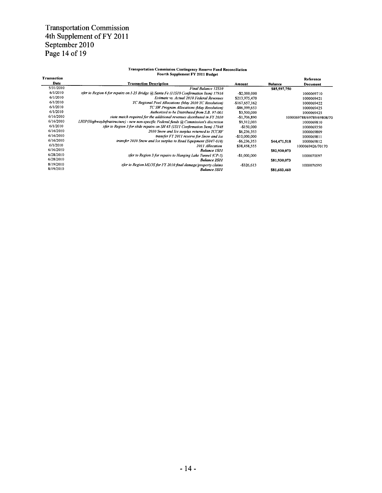## Transportation Commission 4th Supplement of FY 2011 September 2010 Page 14 of 19

## Transportation Commission Contingency Reserve Fund Reconciliation

| Fourth Supplement FY 2011 Budget |  |
|----------------------------------|--|

| <b>Transaction</b> |                                                                                         |                 |                | Reference                 |
|--------------------|-----------------------------------------------------------------------------------------|-----------------|----------------|---------------------------|
| Date               | <b>Transaction Description</b>                                                          | Amount          | <b>Balance</b> | Document                  |
| 5/31/2010          | Final Balance 12S10                                                                     |                 | \$85,597,750   |                           |
| 6/1/2010           | xfer to Region 6 for repairs on 1-25 Bridge @ Santa Fe (11S10 Confirmation Item) 17916  | $-$ \$2,000,000 |                | 1000069710                |
| 6/1/2010           | Estimate vs. Actual 2010 Federal Revenues                                               | \$213,975,470   |                | 1000069421                |
| 6/1/2010           | TC Regional Pool Allocations (May 2010 TC Resolution)                                   | -\$167,657,162  |                | 1000069422                |
| 6/1/2010           | TC SW Program Allocations (May Resolution)                                              | -\$86,399,653   |                | 1000069425                |
| 6/1/2010           | Authorized to be Distributed from S.B. 97-001                                           | \$3,500,000     |                | 1000069425                |
| 6/16/2010          | state match required for the additional revenues distributed in FY 2010                 | $-$1,706,890$   |                | 1000069788/69789/69808/70 |
| 6/16/2010          | LHIP (HighwayInfrastructure) - new non-specific Federal funds @ Commission's discretion | \$9,312,003     |                | 1000069810                |
| 6/1/2010           | xfer to Region 3 for slide repairs on SH 65 (IS11 Confirmation Item) 17948              | $-$150,000$     |                | 1000069350                |
| 6/16/2010          | 2010 Snow and Ice surplus returned to TCCRF                                             | \$6,236,353     |                | 1000069809                |
| 6/16/2010          | transfer FY 2011 reserve for Snow and Ice                                               | $-$10,000,000$  |                | 1000069811                |
| 6/16/2010          | transfer 2010 Snow and Ice surplus to Road Equipment (S047-010)                         | $-56,236,353$   | \$44,471,518   | 1000069812                |
| 6/1/2010           | 2011 Allocation                                                                         | \$38,458,555    |                | 1000069426/70170          |
| 6/16/2010          | <b>Balance 1S11</b>                                                                     |                 | \$82,930,073   |                           |
| 6/28/2010          | xfer to Region 3 for repairs to Hanging Lake Tunnel (CP-5)                              | $-$1,000,000$   |                | 1000070097                |
| 6/28/2010          | <b>Balance 2S11</b>                                                                     |                 | \$81.930.073   |                           |
| 8/19/2010          | xfer to Region MLOS for FY 2010 final damage/property claims                            | $-$ \$326,613   |                | 1000076595                |
| 8/19/2010          | <b>Balance 3S11</b>                                                                     |                 | \$81,603,460   |                           |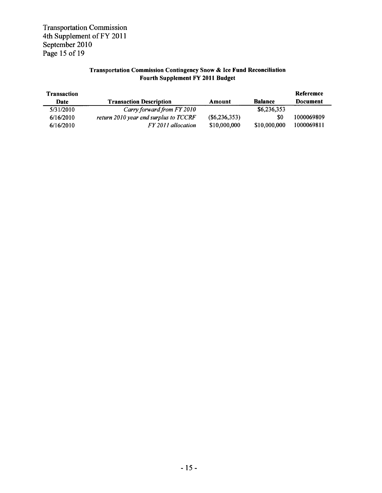Transportation Commission 4th Supplement of FY 2011 September 2010 Page 15 of 19

## Transportation Commission Contingency Snow & Ice Fund Reconciliation Fourth Supplement FY 2011 Budget

| <b>Transaction</b> |                                       |                 |                | Referemce  |
|--------------------|---------------------------------------|-----------------|----------------|------------|
| Date               | <b>Transaction Description</b>        | Amount          | <b>Balance</b> | Document   |
| 5/31/2010          | Carry forward from FY 2010            |                 | \$6,236,353    |            |
| 6/16/2010          | return 2010 year end surplus to TCCRF | $(\$6,236,353)$ | \$0            | 1000069809 |
| 6/16/2010          | FY 2011 allocation                    | \$10,000,000    | \$10,000,000   | 1000069811 |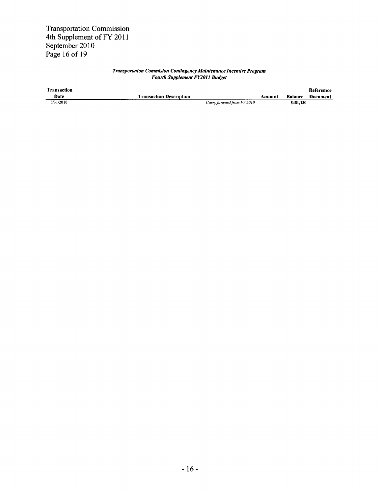Transportation Commission 4th Supplement of FY 2011 September 2010 Page 16 of 19

#### Transportation Commision Contingency Maintenance Incentive Program Fourth Supplement FY2OJI Budget

| <b>Transaction</b> |                                |        |                  | Referemce |
|--------------------|--------------------------------|--------|------------------|-----------|
| Date               | <b>Transaction Description</b> | Amount | <b>Balance</b>   | Document  |
| 5/31/2010          | Carry forward from FY 2010     |        | <b>\$481.130</b> |           |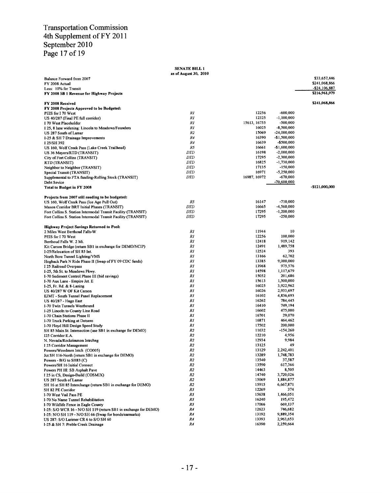## Transportation Commission 4th Supplement of FY 2011 September 2010 Page 17 of 19

|                                                                                                                           | <b>SENATE BILL 1</b><br>as of August 30, 2010 |                |                             |                                   |
|---------------------------------------------------------------------------------------------------------------------------|-----------------------------------------------|----------------|-----------------------------|-----------------------------------|
| Balance Forward from 2007                                                                                                 |                                               |                |                             | \$33,657,446                      |
| FY 2008 Actual                                                                                                            |                                               |                |                             | \$241,068,866                     |
| Less: 10% for Transit                                                                                                     |                                               |                |                             | $-$ \$24,106,887<br>\$216,961,979 |
| FY 2008 SB 1 Revenue for Highway Projects                                                                                 |                                               |                |                             |                                   |
| FY 2008 Received                                                                                                          |                                               |                |                             | \$241,068,866                     |
| FY 2008 Projects Approved to be Budgeted:                                                                                 |                                               |                |                             |                                   |
| PEIS for I 70 West                                                                                                        | RI                                            | 12256          | $-600,000$                  |                                   |
| US 40/287 (Final PE full corridor)                                                                                        | R1                                            | 12325          | $-1,100,000$                |                                   |
| I 70 West Placeholder                                                                                                     | RI                                            | 15613, 16755   | -500,000                    |                                   |
| I 25, 8 lane widening: Lincoln to Meadows/Founders                                                                        | RI                                            | 16025          | $-8,500,000$                |                                   |
| US 287 South of Lamar                                                                                                     | R2                                            | 15069<br>16390 | -24,000,000<br>-\$1,500,000 |                                   |
| I-25 & SH 7 Drainage Improvements<br>I 25/SH 392                                                                          | R4<br>R4                                      | 16639          | $-$500,000$                 |                                   |
| US 160, Wolf Creek Pass (Lake Creek Trailhead)                                                                            | R5                                            | 16661          | $-$1,600,000$               |                                   |
| US 36 Mayors/RTD (TRANSIT)                                                                                                | DTD                                           | 16198          | $-2,000,000$                |                                   |
| City of Fort Collins (TRANSIT)                                                                                            | DTD                                           | 17295          | $-2,300,000$                |                                   |
| RTD (TRANSIT)                                                                                                             | DTD                                           | 16825          | $-1,730,000$                |                                   |
| Neighbor to Neighbor (TRANSIT)                                                                                            | DTD                                           | 17135          | $-150,000$                  |                                   |
| Special Transit (TRANSIT)                                                                                                 | <b>DTD</b>                                    | 16971          | $-5,250,000$                |                                   |
| Supplemental to FTA funding-Rolling Stock (TRANSIT)                                                                       | <b>DTD</b>                                    | 16987, 16972   | $-670,000$                  |                                   |
| Debt Sevice                                                                                                               |                                               |                | -70,600,000                 |                                   |
| Total to Budget in FY 2008                                                                                                |                                               |                |                             | $-$121,000,000$                   |
|                                                                                                                           |                                               |                |                             |                                   |
| Projects from 2007 still needing to be budgeted:<br>US 160, Wolf Creek Pass (Ice Age Pull Out)                            | R5                                            | 16147          | $-710,000$                  |                                   |
| Mason Corridor BRT Initial Phases (TRANSIT)                                                                               | <b>DTD</b>                                    | 16665          | -4,560,000                  |                                   |
| Fort Collins S. Station Intermodal Transit Facility (TRANSIT)                                                             | DTD                                           | 17295          | $-1,200,000$                |                                   |
| Fort Collins S. Station Intermodal Transit Facility (TRANSIT)                                                             | DTD                                           | 17295          | $-250,000$                  |                                   |
|                                                                                                                           |                                               |                |                             |                                   |
| <b>Highway Project Savings Returned to Pool:</b>                                                                          | R1                                            | 11944          | 10                          |                                   |
| 2 Miles West Berthoud Falls-W<br>PEIS for I 70 West                                                                       | RI                                            | 12256          | 100,000                     |                                   |
| Berthoud Falls W. 2 Mi.                                                                                                   | R1                                            | 12418          | 919,142                     |                                   |
| Kit Carson Bridge (return SB1 in exchange for DEMO/NCIP)                                                                  | RI                                            | 12491          | 1,489,758                   |                                   |
| I-25/Relocation of SH 85 Int.                                                                                             | RI                                            | 12524          | 393                         |                                   |
| North Bore Tunnel Lighting/VMS                                                                                            | RI                                            | 13166          | 62,702                      |                                   |
| Hogback Park N Ride Phase II (Swap of FY 09 CDC funds)                                                                    | RI                                            | 13385          | 9,000,000                   |                                   |
| I 25 Railroad Overpass                                                                                                    | R1                                            | 13968          | 975,576                     |                                   |
| I-25, 5th St. to Meadows Pkwy.                                                                                            | RI                                            | 14598          | 1,117,679                   |                                   |
| I-70 Sediment Control Phase III (bid savings)                                                                             | RI                                            | 15052          | 201,686                     |                                   |
| I-70 Aux Lane - Empire Jct. E                                                                                             | RI                                            | 15613          | 1,500,000                   |                                   |
| 1-25, Fr. Rd. & 8-Laning                                                                                                  | RI                                            | 16025          | 3,922,962                   |                                   |
| US 40/287 W OF Kit Carson                                                                                                 | RI                                            | 16026          | 2,933,697                   |                                   |
| EJMT - South Tunnel Panel Replacement                                                                                     | RI                                            | 16102          | 4,836,693                   |                                   |
| US 40/287 - Hugo East                                                                                                     | R1                                            | 16262          | 784,445                     |                                   |
| 1-70 Twin Tunnels Westbound                                                                                               | RI                                            | 16410          | 749,194                     |                                   |
| I-25 Lincoln to County Line Road                                                                                          | R1<br>R1                                      | 16602<br>16701 | 475,000<br>29,070           |                                   |
| I-70 Chain Stations Phase II<br>I-70 Truck Parking at Dotsero                                                             | R1                                            | 16871          | 464,462                     |                                   |
| I-70 Floyd Hill Design Speed Study                                                                                        | R1                                            | 17502          | 200,000                     |                                   |
| SH 85 Main St. Intersection (use SB1 in exchange for DEMO)                                                                | R2                                            | 11632          | $-154,260$                  |                                   |
| 125 Corridor E.A.                                                                                                         | R2                                            | 12210          | 4,956                       |                                   |
| N. Nevada/Rockrimmon Intrchng                                                                                             | R2                                            | 12934          | 9,984                       |                                   |
| I 25 Corridor Management                                                                                                  | R2                                            | 13125          | 49                          |                                   |
| Powers/Woodmen Intch (CO005)                                                                                              | R2                                            | 13129          | 2,242,401                   |                                   |
| Jct SH 116-North (return SB1 in exchange for DEMO)                                                                        | R2                                            | 13289          | 1,748,783                   |                                   |
| Powers - B/G to SH83 (C)                                                                                                  | R2                                            | 13540          | 37,587                      |                                   |
| Powers/SH 16 Initial Connect                                                                                              | R2                                            | 13590          | 617,366                     |                                   |
| Powers PH III: SB Asphalt Pave                                                                                            | R2                                            | 14463          | 8,505                       |                                   |
| 125 in CS, Design-Build (COSMIX)                                                                                          | R2                                            | 14740          | 3,720,026                   |                                   |
| US 287 South of Lamar                                                                                                     | R2                                            | 15069          | 1,884,877                   |                                   |
| SH 16 at SH 85 Interchange (return SB1 in exchange for DEMO)                                                              | R2                                            | 15915          | 6,667,871                   |                                   |
| SH 82 PE Corridor                                                                                                         | R3                                            | 12269          | 374                         |                                   |
| I-70 West Vail Pass PE                                                                                                    | R3                                            | 15638          | 1,466,051                   |                                   |
| I-70 No Name Tunnel Rehabilitation                                                                                        | R3                                            | 16240          | 195,472<br>669,137          |                                   |
| I-70 Wildlife Fence in Eagle County                                                                                       | R3<br>R4                                      | 17066<br>12623 | 746,682                     |                                   |
| I-25: S/O WCR 16 - N/O SH 119 (return SB1 in exchange for DEMO)<br>I-25: N/O SH 119 - N/O SH 66 (Swap for bonds/earmarks) | R4                                            | 13192          | 9,889,354                   |                                   |
| US 287: S/O Larimer CR 6 to S/O SH 60                                                                                     | R4                                            | 13393          | 2,963,653                   |                                   |
| 1-25 & SH 7: Preble Creek Drainage                                                                                        | R4                                            | 16390          | 2,259,664                   |                                   |
|                                                                                                                           |                                               |                |                             |                                   |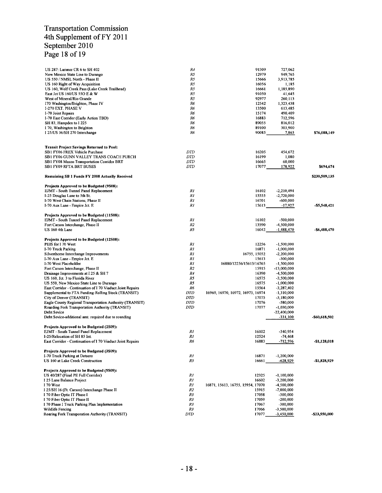## Transportation Commission 4th Supplement of FY 2011 September 2010 Page 18 of 19

| US 287: Larimer CR 6 to SH 402<br>New Mexico State Line to Durango<br>US 550 / NMSL North - Phase II<br>US 160 Right of Way Acquisition<br>US 160, Wolf Creek Pass (Lake Creek Trailhead)<br>East Jct US 160/US 550 E & W<br>West of Mineral/Rio Grande<br>170 Washington/Brighton, Phase IV<br><b>I-270 EXT. PHASE V</b> | R4<br>R5<br>R5<br>R5<br>R5<br>R5<br>R5<br>Rб<br>Rб | 91309<br>12979<br>15666<br>16056<br>16661<br>91050<br>92977<br>12542<br>13500 | 727,062<br>949,765<br>3,913,785<br>1,185<br>1,185,890<br>41,645<br>260,113<br>1,323,438<br>613,485 |               |
|---------------------------------------------------------------------------------------------------------------------------------------------------------------------------------------------------------------------------------------------------------------------------------------------------------------------------|----------------------------------------------------|-------------------------------------------------------------------------------|----------------------------------------------------------------------------------------------------|---------------|
| I-70 Joint Repairs                                                                                                                                                                                                                                                                                                        | Rб                                                 | 15174                                                                         | 490,409                                                                                            |               |
| I-70 East Corridor (Early Action TBD)                                                                                                                                                                                                                                                                                     | Rб                                                 | 16883                                                                         | 712,596                                                                                            |               |
| SH 83, Hampden to I 225                                                                                                                                                                                                                                                                                                   | Rб                                                 | 89055                                                                         | 816,012                                                                                            |               |
| I 70, Washington to Brighton                                                                                                                                                                                                                                                                                              | Rб<br>Rб                                           | 89100<br>90085                                                                | 303,900<br>7,863                                                                                   | \$76,088,149  |
| I 25/US 36/SH 270 Interchange                                                                                                                                                                                                                                                                                             |                                                    |                                                                               |                                                                                                    |               |
| <b>Transit Project Savings Returned to Pool:</b>                                                                                                                                                                                                                                                                          |                                                    |                                                                               |                                                                                                    |               |
| SB1 FY06 FREX Vehicle Purchase                                                                                                                                                                                                                                                                                            | DTD                                                | 16205                                                                         | 454,672                                                                                            |               |
| SB1 FY06 GUNN VALLEY TRANS COACH PURCH                                                                                                                                                                                                                                                                                    | <b>DTD</b>                                         | 16199                                                                         | 1,080                                                                                              |               |
| SB1 FY08 Mason Transportation Corridor BRT<br><b>SB1 FY09 RFTA BRT BUSES</b>                                                                                                                                                                                                                                              | DTD<br><b>DTD</b>                                  | 16665<br>17077                                                                | 60,000<br>178,922                                                                                  | \$694,674     |
| Remaining SB 1 Funds FY 2008 Actually Received                                                                                                                                                                                                                                                                            |                                                    |                                                                               |                                                                                                    | \$230,509,135 |
| Projects Approved to be Budgeted (9S08):                                                                                                                                                                                                                                                                                  |                                                    |                                                                               |                                                                                                    |               |
| EJMT - South Tunnel Panel Replacement                                                                                                                                                                                                                                                                                     | RI                                                 | 16102                                                                         | $-2,210,494$                                                                                       |               |
| I-25 Douglas Lane to 5th St.                                                                                                                                                                                                                                                                                              | RI                                                 | 15555                                                                         | $-2,720,000$                                                                                       |               |
| I-70 West Chain Stations, Phase II<br>I-70 Aux Lane - Empire Jct. E                                                                                                                                                                                                                                                       | $_{RI}$<br>$_{RI}$                                 | 16701<br>15613                                                                | $-600,000$<br>$-17,927$                                                                            | $-55,548,421$ |
|                                                                                                                                                                                                                                                                                                                           |                                                    |                                                                               |                                                                                                    |               |
| Projects Approved to be Budgeted (11S08):                                                                                                                                                                                                                                                                                 |                                                    | 16102                                                                         |                                                                                                    |               |
| EJMT - South Tunnel Panel Replacement<br>Fort Carson Interchange, Phase II                                                                                                                                                                                                                                                | $_{RI}$<br>R <sub>2</sub>                          | 13590                                                                         | $-500,000$<br>-4,500,000                                                                           |               |
| US 160 4th Lane                                                                                                                                                                                                                                                                                                           | R5                                                 | 16042                                                                         | $-1,488,470$                                                                                       | -\$6,488,470  |
| Projects Approved to be Budgeted (12S08):                                                                                                                                                                                                                                                                                 |                                                    |                                                                               |                                                                                                    |               |
| PEIS for I 70 West                                                                                                                                                                                                                                                                                                        | RI                                                 | 12256                                                                         | $-1,500,000$                                                                                       |               |
| I-70 Truck Parking                                                                                                                                                                                                                                                                                                        | $_{RI}$                                            | 16871                                                                         | $-1,000,000$                                                                                       |               |
| Silverthorne Interchange Improvements                                                                                                                                                                                                                                                                                     | R1                                                 | 16755, 15052                                                                  | $-2,200,000$                                                                                       |               |
| I-70 Aux Lane - Empire Jct. E<br>1-70 West Placeholder                                                                                                                                                                                                                                                                    | RI<br>R1                                           | 15613<br>16880/12256/15613/16765                                              | $-300,000$<br>$-1,500,000$                                                                         |               |
| Fort Carson Interchange, Phase II                                                                                                                                                                                                                                                                                         | R <sub>2</sub>                                     | 15915                                                                         | -13,000,000                                                                                        |               |
| Drainage Improvements at I 25 & SH 7                                                                                                                                                                                                                                                                                      | R4                                                 | 16390                                                                         | $-4,500,000$                                                                                       |               |
| US 160, Jct. 3 to Florida River                                                                                                                                                                                                                                                                                           | R5                                                 | 16575                                                                         | $-3,500,000$                                                                                       |               |
| US 550, New Mexico State Line to Durango                                                                                                                                                                                                                                                                                  | R5                                                 | 16575                                                                         | $-1,000,000$                                                                                       |               |
| East Corridor - Continuation of I 70 Viaduct Joint Repairs<br>Supplemental to FTA Funding-Rolling Stock (TRANSIT)                                                                                                                                                                                                         | Rб<br><b>DTD</b>                                   | 15564<br>16969, 16970, 16972, 16973, 16974                                    | $-3,287,402$<br>$-1,310,000$                                                                       |               |
| City of Denver (TRANSIT)                                                                                                                                                                                                                                                                                                  | DTD                                                | 17075                                                                         | $-3,180,000$                                                                                       |               |
| Eagle County Regional Transportation Authority (TRANSIT)                                                                                                                                                                                                                                                                  | <b>DTD</b>                                         | 17076                                                                         | $-580,000$                                                                                         |               |
| Roarding Fork Transportation Authority (TRANSIT)                                                                                                                                                                                                                                                                          | DTD                                                | 17077                                                                         | $-1,030,000$                                                                                       |               |
| Debt Sevice<br>Debt Sevice-additional amt. required due to rounding                                                                                                                                                                                                                                                       |                                                    |                                                                               | $-22,400,000$<br>$-331,100$                                                                        | -\$60,618,502 |
|                                                                                                                                                                                                                                                                                                                           |                                                    |                                                                               |                                                                                                    |               |
| Projects Approved to be Budgeted (2S09):<br><b>EJMT</b> - South Tunnel Panel Replacement                                                                                                                                                                                                                                  | R1                                                 | 16102                                                                         | -340,954                                                                                           |               |
| I-25/Relocation of SH 85 Int.                                                                                                                                                                                                                                                                                             | R1                                                 | 12524                                                                         | $-74,468$                                                                                          |               |
| East Corridor - Continuation of I 70 Viaduct Joint Repairs                                                                                                                                                                                                                                                                | Rб                                                 | 16883                                                                         | $-712,596$                                                                                         | $-$1,128,018$ |
| Projects Approved to be Budgeted (3S09):                                                                                                                                                                                                                                                                                  |                                                    |                                                                               |                                                                                                    |               |
| I-70 Truck Parking at Dotsero<br>US 160 at Lake Creek Construction                                                                                                                                                                                                                                                        | RI<br>R5                                           | 16871                                                                         | $-1,200,000$                                                                                       |               |
|                                                                                                                                                                                                                                                                                                                           |                                                    | 16661                                                                         | -628,929                                                                                           | -\$1,828,929  |
| Projects Approved to be Budgeted (5S09):<br>US 40/287 (Final PE Full Corridor)                                                                                                                                                                                                                                            | R1                                                 | 12325                                                                         | $-1,100,000$                                                                                       |               |
| I 25 Lane Balance Project                                                                                                                                                                                                                                                                                                 | R1                                                 | 16602                                                                         | $-3,200,000$                                                                                       |               |
| I 70 West                                                                                                                                                                                                                                                                                                                 | R1                                                 | 16871, 15613, 16755, 15954, 17070                                             | -4,500,000                                                                                         |               |
| I 25/SH 16 (Ft. Carson) Interchange Phase II                                                                                                                                                                                                                                                                              | R2                                                 | 15915                                                                         | $-7,000,000$                                                                                       |               |
| I 70 Fiber Optic IT Phase I                                                                                                                                                                                                                                                                                               | R3                                                 | 17058                                                                         | $-300,000$                                                                                         |               |
| I 70 Fiber Optic IT Phase II<br>I 70 Phase I Truck Parking Plan Implementation                                                                                                                                                                                                                                            | R3<br>R3                                           | 17059<br>17067                                                                | $-200,000$<br>$-300,000$                                                                           |               |
| Wildlife Fencing                                                                                                                                                                                                                                                                                                          | R3                                                 | 17066                                                                         | $-3,500,000$                                                                                       |               |
| Roaring Fork Transporation Authority (TRANSIT)                                                                                                                                                                                                                                                                            | DTD                                                | 17077                                                                         | $-3,450,000$                                                                                       | -\$23,550,000 |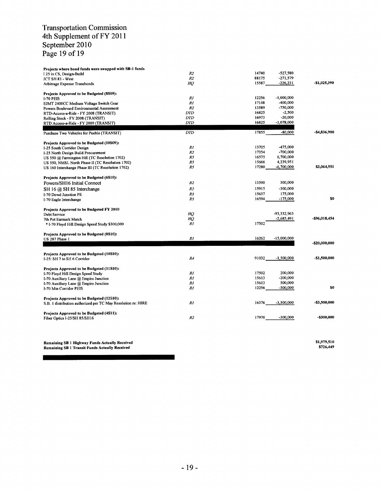## Transportation Commission 4th Supplement of FY 2011 September 2010 Page 19 of 19

| Projects where bond funds were swapped with SB-1 funds        |                |       |               |               |
|---------------------------------------------------------------|----------------|-------|---------------|---------------|
| I 25 in CS, Design-Build                                      | R <sub>2</sub> | 14740 | -527,580      |               |
| JCT SH 83 - West                                              | R <sub>2</sub> | 88175 | $-271,579$    |               |
| Arbitrage Expense Transbonds                                  | НQ             | 15587 | $-226,231$    | -\$1,025,390  |
| Projects Approved to be Budgeted (8S09):                      |                |       |               |               |
| <b>I-70 PEIS</b>                                              | RI             | 12256 | $-1,000,000$  |               |
| EJMT 2400CC Medium Voltage Switch Gear                        | R1             | 17148 | -400,000      |               |
| Powers Boulevard Environmental Assessment                     | R2             | 13589 | -750,000      |               |
| RTD-Access-a-Ride - FY 2008 (TRANSIT)                         | <b>DTD</b>     | 16825 | $-2,500$      |               |
| Rolling Stock - FY 2008 (TRANSIT)                             | <b>DTD</b>     | 16973 | $-20,000$     |               |
| RTD Access-a-Ride - FY 2009 (TRANSIT)                         | <b>DTD</b>     | 16825 | $-1,078,000$  |               |
|                                                               |                |       |               |               |
| Purchase Two Vehicles for Pueblo (TRANSIT)                    | <b>DTD</b>     | 17855 | $-80,000$     | -\$4,836,900  |
| Projects Approved to be Budgeted (10S09):                     |                |       |               |               |
| I-25 South Corridor Design                                    | R1             | 13705 | $-475,000$    |               |
| I-25 North Design Build Procurement                           | R <sub>2</sub> | 17354 | $-700,000$    |               |
| US 550 @ Farmington Hill (TC Resolution 1702)                 | R5             | 16575 | 6,700,000     |               |
| US 550, NMSL North Phase II (TC Resolution 1702)              | R5             | 15666 | 4,239,951     |               |
| US 160 Interchange Phase III (TC Resolution 1702)             | R5             | 17280 | -6,700,000    | \$3,064,951   |
| Projects Approved to be Budgeted (6S10):                      |                |       |               |               |
| Powers/SH16 Initial Connect                                   | R <sub>2</sub> | 13590 | 300,000       |               |
| SH 16 @ SH 85 Interchange                                     | R <sub>2</sub> | 15915 | $-300,000$    |               |
| I-70 Dowd Junction PE                                         | R3             | 15637 | 175,000       |               |
| I-70 Eagle Interchange                                        | R3             | 16594 | $-175,000$    | \$0           |
|                                                               |                |       |               |               |
| Projects Approved to be Budgeted FY 2010                      |                |       |               |               |
| Debt Service                                                  | HO.            |       | -93,332,963   |               |
| 7th Pot Earmark Match                                         | НQ             |       | $-2,685,491$  | -\$96,018,454 |
| * I-70 Floyd Hill Design Speed Study \$300,000                | RI             | 17502 |               |               |
| Projects Approved to be Budgeted (8S10):                      |                |       |               |               |
| US 287 Phase 1                                                | RI             | 16262 | $-15,000,000$ |               |
|                                                               |                |       |               | -\$20,000,000 |
| Projects Approved to be Budgeted (10S10):                     |                |       |               |               |
| I-25: SH 7 to SH 6 Corridor                                   | R4             | 91032 | $-1,500,000$  | -\$1,500,000  |
| Projects Approved to be Budgeted (11S10):                     |                |       |               |               |
| I-70 Floyd Hill Design Speed Study                            | $_{RI}$        | 17502 | 200,000       |               |
| 1-70 Auxiliary Lane @ Empire Junction                         | R1             | 15613 | $-200,000$    |               |
| I-70 Auxiliary Lane @ Empire Junction                         | RI             | 15613 | 500,000       |               |
| 1-70 Mtn Corridor PEIS                                        | RI             | 12256 | -500,000      | \$0           |
| Projects Approved to be Budgeted (12S10):                     |                |       |               |               |
| S.B. 1 distribution authorized per TC May Resolution re: HIRE | R1             | 16376 | $-3,500,000$  | -\$3,500,000  |
|                                                               |                |       |               |               |
| Projects Approved to be Budgeted (4S11):                      |                |       |               |               |
| Fiber Optics I-25/SH 85/SH16                                  | R <sub>2</sub> | 17970 | $-300,000$    | -\$300,000    |
|                                                               |                |       |               |               |

Remaining SB <sup>I</sup> Highway Funds Actually Received \$1,979,510 Remaining SB <sup>I</sup> Transit Funds Actually Received \$726,449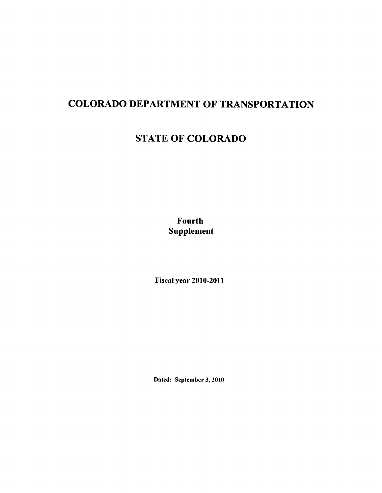# COLORADO DEPARTMENT OF TRANSPORTATION

## STATE OF COLORADO

Fourth Supplement

Fiscal year 2010-2011

Dated: September 3, 2010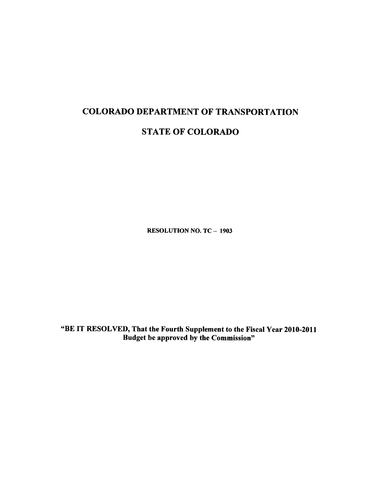## COLORADO DEPARTMENT OF TRANSPORTATION

## STATE OF COLORADO

RESOLUTION NO. TC - 1903

"BE IT RESOLVED, That the Fourth Supplement to the Fiscal Year 2010-2011 Budget be approved by the Commission"